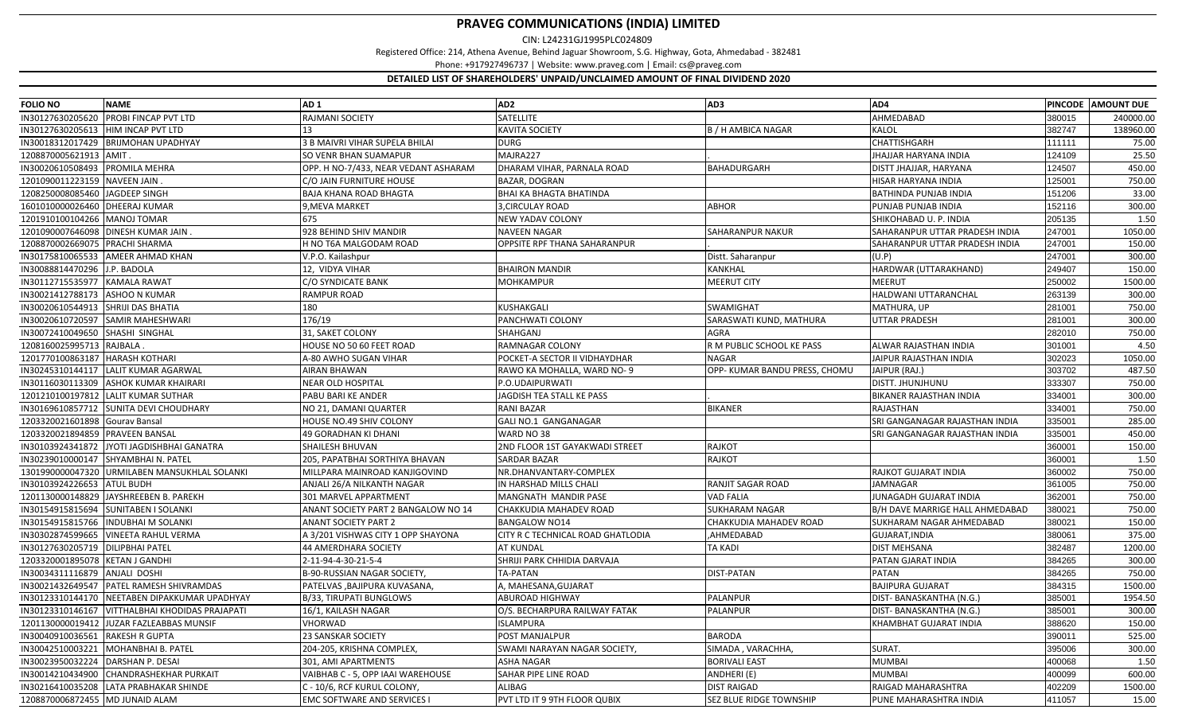CIN: L24231GJ1995PLC024809

Registered Office: 214, Athena Avenue, Behind Jaguar Showroom, S.G. Highway, Gota, Ahmedabad ‐ 382481

Phone: +917927496737 | Website: www.praveg.com | Email: cs@praveg.com

| <b>FOLIO NO</b>                    | <b>NAME</b>                                | AD <sub>1</sub>                      | AD <sub>2</sub>                   | AD3                           | AD4                             |        | PINCODE AMOUNT DUE |
|------------------------------------|--------------------------------------------|--------------------------------------|-----------------------------------|-------------------------------|---------------------------------|--------|--------------------|
|                                    | IN30127630205620 PROBI FINCAP PVT LTD      | RAJMANI SOCIETY                      | SATELLITE                         |                               | AHMEDABAD                       | 380015 | 240000.00          |
| IN30127630205613                   | HIM INCAP PVT LTD                          | 13                                   | <b>KAVITA SOCIETY</b>             | <b>B / H AMBICA NAGAR</b>     | KALOL                           | 382747 | 138960.00          |
|                                    | IN30018312017429 BRIJMOHAN UPADHYAY        | 3 B MAIVRI VIHAR SUPELA BHILAI       | <b>DURG</b>                       |                               | CHATTISHGARH                    | 111111 | 75.00              |
| 1208870005621913                   | AMIT                                       | SO VENR BHAN SUAMAPUR                | MAJRA227                          |                               | <b>JHAJJAR HARYANA INDIA</b>    | 124109 | 25.50              |
| IN30020610508493 PROMILA MEHRA     |                                            | OPP. H NO-7/433, NEAR VEDANT ASHARAM | DHARAM VIHAR, PARNALA ROAD        | BAHADURGARH                   | DISTT JHAJJAR, HARYANA          | 124507 | 450.00             |
| 1201090011223159                   | <b>NAVEEN JAIN</b>                         | C/O JAIN FURNITURE HOUSE             | BAZAR, DOGRAN                     |                               | HISAR HARYANA INDIA             | 125001 | 750.00             |
| 1208250008085460                   | <b>JAGDEEP SINGH</b>                       | <b>BAJA KHANA ROAD BHAGTA</b>        | BHAI KA BHAGTA BHATINDA           |                               | <b>BATHINDA PUNJAB INDIA</b>    | 151206 | 33.00              |
| 1601010000026460                   | <b>DHEERAJ KUMAR</b>                       | 9, MEVA MARKET                       | 3, CIRCULAY ROAD                  | <b>ABHOR</b>                  | PUNJAB PUNJAB INDIA             | 152116 | 300.00             |
| 1201910100104266 MANOJ TOMAR       |                                            | 675                                  | NEW YADAV COLONY                  |                               | SHIKOHABAD U. P. INDIA          | 205135 | 1.50               |
|                                    | 1201090007646098 DINESH KUMAR JAIN         | 928 BEHIND SHIV MANDIR               | <b>NAVEEN NAGAR</b>               | SAHARANPUR NAKUR              | SAHARANPUR UTTAR PRADESH INDIA  | 247001 | 1050.00            |
| 1208870002669075 PRACHI SHARMA     |                                            | H NO T6A MALGODAM ROAD               | OPPSITE RPF THANA SAHARANPUR      |                               | SAHARANPUR UTTAR PRADESH INDIA  | 247001 | 150.00             |
| IN30175810065533                   | <b>AMEER AHMAD KHAN</b>                    | V.P.O. Kailashpur                    |                                   | Distt. Saharanpur             | (U.P)                           | 247001 | 300.00             |
| IN30088814470296                   | J.P. BADOLA                                | 12, VIDYA VIHAR                      | <b>BHAIRON MANDIR</b>             | KANKHAL                       | HARDWAR (UTTARAKHAND)           | 249407 | 150.00             |
| IN30112715535977                   | <b>KAMALA RAWAT</b>                        | C/O SYNDICATE BANK                   | <b>MOHKAMPUR</b>                  | <b>MEERUT CITY</b>            | <b>MEERUT</b>                   | 250002 | 1500.00            |
| IN30021412788173                   | <b>ASHOO N KUMAR</b>                       | <b>RAMPUR ROAD</b>                   |                                   |                               | HALDWANI UTTARANCHAL            | 263139 | 300.00             |
| IN30020610544913 SHRIJI DAS BHATIA |                                            | 180                                  | KUSHAKGALI                        | SWAMIGHAT                     | MATHURA, UP                     | 281001 | 750.00             |
| IN30020610720597                   | <b>SAMIR MAHESHWARI</b>                    | 176/19                               | PANCHWATI COLONY                  | SARASWATI KUND, MATHURA       | <b>UTTAR PRADESH</b>            | 281001 | 300.00             |
| IN30072410049650                   | SHASHI SINGHAL                             | 31, SAKET COLONY                     | SHAHGANJ                          | AGRA                          |                                 | 282010 | 750.00             |
| 1208160025995713                   | RAJBALA                                    | HOUSE NO 50 60 FEET ROAD             | RAMNAGAR COLONY                   | R M PUBLIC SCHOOL KE PASS     | ALWAR RAJASTHAN INDIA           | 301001 | 4.50               |
| 1201770100863187                   | <b>HARASH KOTHARI</b>                      | A-80 AWHO SUGAN VIHAR                | POCKET-A SECTOR II VIDHAYDHAR     | <b>NAGAR</b>                  | JAIPUR RAJASTHAN INDIA          | 302023 | 1050.00            |
| IN30245310144117                   | <b>LALIT KUMAR AGARWAL</b>                 | <b>AIRAN BHAWAN</b>                  | RAWO KA MOHALLA, WARD NO- 9       | OPP- KUMAR BANDU PRESS, CHOMU | JAIPUR (RAJ.)                   | 303702 | 487.50             |
| IN30116030113309                   | <b>ASHOK KUMAR KHAIRARI</b>                | <b>NEAR OLD HOSPITAL</b>             | P.O.UDAIPURWATI                   |                               | DISTT. JHUNJHUNU                | 333307 | 750.00             |
| 1201210100197812                   | <b>LALIT KUMAR SUTHAR</b>                  | PABU BARI KE ANDER                   | JAGDISH TEA STALL KE PASS         |                               | BIKANER RAJASTHAN INDIA         | 334001 | 300.00             |
|                                    | IN30169610857712 SUNITA DEVI CHOUDHARY     | NO 21, DAMANI QUARTER                | <b>RANI BAZAR</b>                 | <b>BIKANER</b>                | RAJASTHAN                       | 334001 | 750.00             |
| 1203320021601898 Gourav Bansal     |                                            | HOUSE NO.49 SHIV COLONY              | GALI NO.1 GANGANAGAR              |                               | SRI GANGANAGAR RAJASTHAN INDIA  | 335001 | 285.00             |
| 1203320021894859                   | <b>PRAVEEN BANSAL</b>                      | 49 GORADHAN KI DHANI                 | WARD NO 38                        |                               | SRI GANGANAGAR RAJASTHAN INDIA  | 335001 | 450.00             |
|                                    | IN30103924341872 JYOTI JAGDISHBHAI GANATRA | SHAILESH BHUVAN                      | 2ND FLOOR 1ST GAYAKWADI STREET    | RAJKOT                        |                                 | 360001 | 150.00             |
|                                    | IN30239010000147 SHYAMBHAI N. PATEL        | 205, PAPATBHAI SORTHIYA BHAVAN       | SARDAR BAZAR                      | RAJKOT                        |                                 | 360001 | 1.50               |
| 1301990000047320                   | URMILABEN MANSUKHLAL SOLANKI               | MILLPARA MAINROAD KANJIGOVIND        | NR.DHANVANTARY-COMPLEX            |                               | RAJKOT GUJARAT INDIA            | 360002 | 750.00             |
| IN30103924226653                   | <b>ATUL BUDH</b>                           | ANJALI 26/A NILKANTH NAGAR           | IN HARSHAD MILLS CHALI            | RANJIT SAGAR ROAD             | <b>JAMNAGAR</b>                 | 361005 | 750.00             |
| 1201130000148829                   | JAYSHREEBEN B. PAREKH                      | 301 MARVEL APPARTMENT                | MANGNATH MANDIR PASE              | <b>VAD FALIA</b>              | JUNAGADH GUJARAT INDIA          | 362001 | 750.00             |
| IN30154915815694                   | <b>SUNITABEN I SOLANKI</b>                 | ANANT SOCIETY PART 2 BANGALOW NO 14  | CHAKKUDIA MAHADEV ROAD            | <b>SUKHARAM NAGAR</b>         | B/H DAVE MARRIGE HALL AHMEDABAD | 380021 | 750.00             |
| IN30154915815766                   | <b>INDUBHAI M SOLANKI</b>                  | <b>ANANT SOCIETY PART 2</b>          | <b>BANGALOW NO14</b>              | CHAKKUDIA MAHADEV ROAD        | SUKHARAM NAGAR AHMEDABAD        | 380021 | 150.00             |
| IN30302874599665                   | <b>VINEETA RAHUL VERMA</b>                 | A 3/201 VISHWAS CITY 1 OPP SHAYONA   | CITY R C TECHNICAL ROAD GHATLODIA | ,AHMEDABAD                    | GUJARAT, INDIA                  | 380061 | 375.00             |
| IN30127630205719                   | <b>DILIPBHAI PATEL</b>                     | <b>44 AMERDHARA SOCIETY</b>          | AT KUNDAL                         | TA KADI                       | <b>DIST MEHSANA</b>             | 382487 | 1200.00            |
| 1203320001895078                   | <b>KETAN J GANDHI</b>                      | 2-11-94-4-30-21-5-4                  | SHRIJI PARK CHHIDIA DARVAJA       |                               | PATAN GJARAT INDIA              | 384265 | 300.00             |
| IN30034311116879                   | ANJALI DOSHI                               | B-90-RUSSIAN NAGAR SOCIETY,          | TA-PATAN                          | DIST-PATAN                    | <b>PATAN</b>                    | 384265 | 750.00             |
| IN30021432649547                   | PATEL RAMESH SHIVRAMDAS                    | PATELVAS , BAJIPURA KUVASANA,        | A, MAHESANA, GUJARAT              |                               | <b>BAJIPURA GUJARAT</b>         | 384315 | 1500.00            |
| IN30123310144170                   | NEETABEN DIPAKKUMAR UPADHYAY               | <b>B/33, TIRUPATI BUNGLOWS</b>       | <b>ABUROAD HIGHWAY</b>            | PALANPUR                      | DIST- BANASKANTHA (N.G.)        | 385001 | 1954.50            |
| IN30123310146167                   | VITTHALBHAI KHODIDAS PRAJAPATI             | 16/1, KAILASH NAGAR                  | O/S. BECHARPURA RAILWAY FATAK     | <b>PALANPUR</b>               | DIST-BANASKANTHA (N.G.)         | 385001 | 300.00             |
| 1201130000019412                   | JUZAR FAZLEABBAS MUNSIF                    | VHORWAD                              | ISLAMPURA                         |                               | KHAMBHAT GUJARAT INDIA          | 388620 | 150.00             |
| IN30040910036561                   | <b>RAKESH R GUPTA</b>                      | 23 SANSKAR SOCIETY                   | POST MANJALPUR                    | <b>BARODA</b>                 |                                 | 390011 | 525.00             |
| IN30042510003221                   | MOHANBHAI B. PATEL                         | 204-205, KRISHNA COMPLEX,            | SWAMI NARAYAN NAGAR SOCIETY,      | SIMADA, VARACHHA,             | SURAT.                          | 395006 | 300.00             |
| IN30023950032224                   | DARSHAN P. DESAI                           | 301, AMI APARTMENTS                  | ASHA NAGAR                        | <b>BORIVALI EAST</b>          | <b>MUMBAI</b>                   | 400068 | 1.50               |
| IN30014210434900                   | <b>CHANDRASHEKHAR PURKAIT</b>              | VAIBHAB C - 5, OPP IAAI WAREHOUSE    | SAHAR PIPE LINE ROAD              | ANDHERI (E)                   | <b>MUMBAI</b>                   | 400099 | 600.00             |
| IN30216410035208                   | <b>LATA PRABHAKAR SHINDE</b>               | C - 10/6, RCF KURUL COLONY,          | ALIBAG                            | <b>DIST RAIGAD</b>            | RAIGAD MAHARASHTRA              | 402209 | 1500.00            |
| 1208870006872455 MD JUNAID ALAM    |                                            | <b>EMC SOFTWARE AND SERVICES</b>     | PVT LTD IT 9 9TH FLOOR QUBIX      | SEZ BLUE RIDGE TOWNSHIP       | PUNE MAHARASHTRA INDIA          | 411057 | 15.00              |
|                                    |                                            |                                      |                                   |                               |                                 |        |                    |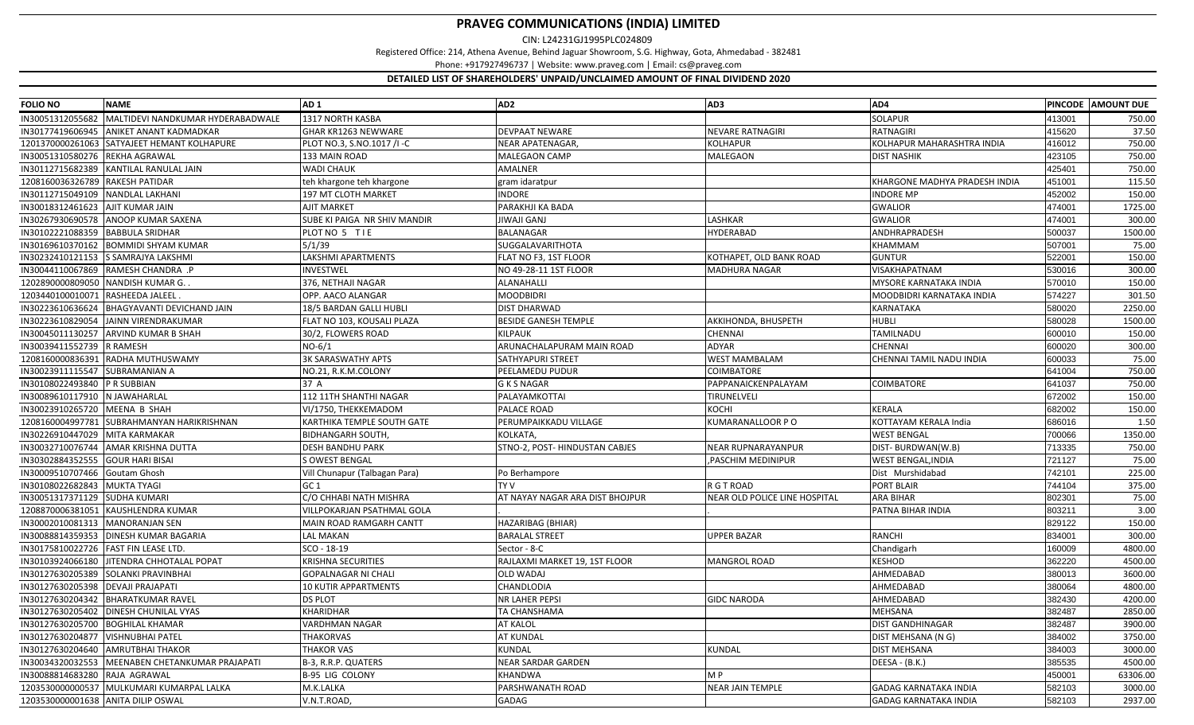CIN: L24231GJ1995PLC024809

Registered Office: 214, Athena Avenue, Behind Jaguar Showroom, S.G. Highway, Gota, Ahmedabad ‐ 382481

Phone: +917927496737 | Website: www.praveg.com | Email: cs@praveg.com

| <b>FOLIO NO</b>                      | <b>NAME</b>                                 | AD <sub>1</sub>               | AD <sub>2</sub>                 | AD <sub>3</sub>               | AD4                           |        | PINCODE AMOUNT DUE |
|--------------------------------------|---------------------------------------------|-------------------------------|---------------------------------|-------------------------------|-------------------------------|--------|--------------------|
| IN30051312055682                     | MALTIDEVI NANDKUMAR HYDERABADWALE           | 1317 NORTH KASBA              |                                 |                               | SOLAPUR                       | 413001 | 750.00             |
| IN30177419606945                     | <b>ANIKET ANANT KADMADKAR</b>               | GHAR KR1263 NEWWARE           | DEVPAAT NEWARE                  | NEVARE RATNAGIRI              | <b>RATNAGIRI</b>              | 415620 | 37.50              |
|                                      | 1201370000261063 SATYAJEET HEMANT KOLHAPURE | PLOT NO.3, S.NO.1017 /I-C     | NEAR APATENAGAR,                | KOLHAPUR                      | KOLHAPUR MAHARASHTRA INDIA    | 416012 | 750.00             |
| IN30051310580276 REKHA AGRAWAL       |                                             | 133 MAIN ROAD                 | <b>MALEGAON CAMP</b>            | MALEGAON                      | <b>DIST NASHIK</b>            | 423105 | 750.00             |
| IN30112715682389                     | KANTILAL RANULAL JAIN                       | <b>WADI CHAUK</b>             | AMALNER                         |                               |                               | 425401 | 750.00             |
| 1208160036326789                     | <b>RAKESH PATIDAR</b>                       | teh khargone teh khargone     | gram idaratpur                  |                               | KHARGONE MADHYA PRADESH INDIA | 451001 | 115.50             |
| IN30112715049109                     | <b>NANDLAL LAKHANI</b>                      | 197 MT CLOTH MARKET           | <b>INDORE</b>                   |                               | <b>INDORE MP</b>              | 452002 | 150.00             |
| IN30018312461623 AJIT KUMAR JAIN     |                                             | <b>AJIT MARKET</b>            | PARAKHJI KA BADA                |                               | <b>GWALIOR</b>                | 474001 | 1725.00            |
|                                      | IN30267930690578 ANOOP KUMAR SAXENA         | SUBE KI PAIGA NR SHIV MANDIR  | JIWAJI GANJ                     | LASHKAR                       | <b>GWALIOR</b>                | 474001 | 300.00             |
| IN30102221088359                     | <b>BABBULA SRIDHAR</b>                      | PLOT NO 5 TIE                 | BALANAGAR                       | HYDERABAD                     | ANDHRAPRADESH                 | 500037 | 1500.00            |
|                                      | IN30169610370162 BOMMIDI SHYAM KUMAR        | 5/1/39                        | SUGGALAVARITHOTA                |                               | KHAMMAM                       | 507001 | 75.00              |
| IN30232410121153                     | <b>S SAMRAJYA LAKSHMI</b>                   | LAKSHMI APARTMENTS            | FLAT NO F3, 1ST FLOOR           | KOTHAPET, OLD BANK ROAD       | <b>GUNTUR</b>                 | 522001 | 150.00             |
|                                      | IN30044110067869 RAMESH CHANDRA .P          | INVESTWEL                     | NO 49-28-11 1ST FLOOR           | MADHURA NAGAR                 | VISAKHAPATNAM                 | 530016 | 300.00             |
| 1202890000809050 NANDISH KUMAR G.    |                                             | 376, NETHAJI NAGAR            | ALANAHALLI                      |                               | MYSORE KARNATAKA INDIA        | 570010 | 150.00             |
| 1203440100010071 RASHEEDA JALEEL     |                                             | OPP. AACO ALANGAR             | <b>MOODBIDRI</b>                |                               | MOODBIDRI KARNATAKA INDIA     | 574227 | 301.50             |
| IN30223610636624                     | <b>BHAGYAVANTI DEVICHAND JAIN</b>           | 18/5 BARDAN GALLI HUBLI       | <b>DIST DHARWAD</b>             |                               | KARNATAKA                     | 580020 | 2250.00            |
| IN30223610829054                     | JAINN VIRENDRAKUMAR                         | FLAT NO 103, KOUSALI PLAZA    | <b>BESIDE GANESH TEMPLE</b>     | AKKIHONDA, BHUSPETH           | <b>HUBLI</b>                  | 580028 | 1500.00            |
| IN30045011130257                     | <b>ARVIND KUMAR B SHAH</b>                  | 30/2, FLOWERS ROAD            | KILPAUK                         | <b>CHENNAI</b>                | TAMILNADU                     | 600010 | 150.00             |
| IN30039411552739                     | <b>R RAMESH</b>                             | $NO-6/1$                      | ARUNACHALAPURAM MAIN ROAD       | ADYAR                         | <b>CHENNAI</b>                | 600020 | 300.00             |
| 1208160000836391                     | <b>RADHA MUTHUSWAMY</b>                     | <b>3K SARASWATHY APTS</b>     | SATHYAPURI STREET               | WEST MAMBALAM                 | CHENNAI TAMIL NADU INDIA      | 600033 | 75.00              |
| IN30023911115547 SUBRAMANIAN A       |                                             | NO.21, R.K.M.COLONY           | PEELAMEDU PUDUR                 | <b>COIMBATORE</b>             |                               | 641004 | 750.00             |
| IN30108022493840                     | <b>P R SUBBIAN</b>                          | 37 A                          | <b>GKSNAGAR</b>                 | PAPPANAICKENPALAYAM           | <b>COIMBATORE</b>             | 641037 | 750.00             |
| IN30089610117910 N JAWAHARLAL        |                                             | 112 11TH SHANTHI NAGAR        | PALAYAMKOTTAI                   | TIRUNELVELI                   |                               | 672002 | 150.00             |
| IN30023910265720 MEENA B SHAH        |                                             | VI/1750, THEKKEMADOM          | PALACE ROAD                     | KOCHI                         | <b>KERALA</b>                 | 682002 | 150.00             |
| 1208160004997781                     | SUBRAHMANYAN HARIKRISHNAN                   | KARTHIKA TEMPLE SOUTH GATE    | PERUMPAIKKADU VILLAGE           | KUMARANALLOOR PO              | KOTTAYAM KERALA India         | 686016 | 1.50               |
| IN30226910447029                     | <b>MITA KARMAKAR</b>                        | <b>BIDHANGARH SOUTH</b>       | KOLKATA                         |                               | <b>WEST BENGAL</b>            | 700066 | 1350.00            |
| IN30032710076744                     | <b>AMAR KRISHNA DUTTA</b>                   | <b>DESH BANDHU PARK</b>       | STNO-2, POST- HINDUSTAN CABJES  | <b>NEAR RUPNARAYANPUR</b>     | DIST-BURDWAN(W.B)             | 713335 | 750.00             |
| IN30302884352555                     | <b>GOUR HARI BISAI</b>                      | <b>S OWEST BENGAL</b>         |                                 | PASCHIM MEDINIPUR             | WEST BENGAL, INDIA            | 721127 | 75.00              |
| IN30009510707466 Goutam Ghosh        |                                             | Vill Chunapur (Talbagan Para) | Po Berhampore                   |                               | Dist Murshidabad              | 742101 | 225.00             |
| IN30108022682843 MUKTA TYAGI         |                                             | GC <sub>1</sub>               | <b>TYV</b>                      | R G T ROAD                    | PORT BLAIR                    | 744104 | 375.00             |
| IN30051317371129 SUDHA KUMARI        |                                             | C/O CHHABI NATH MISHRA        | AT NAYAY NAGAR ARA DIST BHOJPUR | NEAR OLD POLICE LINE HOSPITAL | <b>ARA BIHAR</b>              | 802301 | 75.00              |
|                                      | 1208870006381051 KAUSHLENDRA KUMAR          | VILLPOKARJAN PSATHMAL GOLA    |                                 |                               | PATNA BIHAR INDIA             | 803211 | 3.00               |
| IN30002010081313 MANORANJAN SEN      |                                             | MAIN ROAD RAMGARH CANTT       | HAZARIBAG (BHIAR)               |                               |                               | 829122 | 150.00             |
|                                      | IN30088814359353 DINESH KUMAR BAGARIA       | LAL MAKAN                     | <b>BARALAL STREET</b>           | <b>UPPER BAZAR</b>            | <b>RANCHI</b>                 | 834001 | 300.00             |
| IN30175810022726 FAST FIN LEASE LTD. |                                             | SCO - 18-19                   | Sector - 8-C                    |                               | Chandigarh                    | 160009 | 4800.00            |
| IN30103924066180                     | <b>JITENDRA CHHOTALAL POPAT</b>             | <b>KRISHNA SECURITIES</b>     | RAJLAXMI MARKET 19, 1ST FLOOR   | <b>MANGROL ROAD</b>           | <b>KESHOD</b>                 | 362220 | 4500.00            |
| IN30127630205389                     | <b>SOLANKI PRAVINBHAI</b>                   | <b>GOPALNAGAR NI CHALI</b>    | OLD WADAJ                       |                               | AHMEDABAD                     | 380013 | 3600.00            |
| IN30127630205398                     | <b>DEVAJI PRAJAPATI</b>                     | 10 KUTIR APPARTMENTS          | CHANDLODIA                      |                               | AHMEDABAD                     | 380064 | 4800.00            |
| IN30127630204342                     | <b>BHARATKUMAR RAVEL</b>                    | <b>DS PLOT</b>                | NR LAHER PEPSI                  | <b>GIDC NARODA</b>            | AHMEDABAD                     | 382430 | 4200.00            |
|                                      | IN30127630205402 DINESH CHUNILAL VYAS       | KHARIDHAR                     | TA CHANSHAMA                    |                               | MEHSANA                       | 382487 | 2850.00            |
| IN30127630205700                     | <b>BOGHILAL KHAMAR</b>                      | VARDHMAN NAGAR                | <b>AT KALOL</b>                 |                               | DIST GANDHINAGAR              | 382487 | 3900.00            |
| IN30127630204877   VISHNUBHAI PATEL  |                                             | <b>THAKORVAS</b>              | <b>AT KUNDAL</b>                |                               | DIST MEHSANA (N G)            | 384002 | 3750.00            |
|                                      | IN30127630204640 AMRUTBHAI THAKOR           | <b>THAKOR VAS</b>             | <b>KUNDAL</b>                   | KUNDAL                        | <b>DIST MEHSANA</b>           | 384003 | 3000.00            |
| IN30034320032553                     | MEENABEN CHETANKUMAR PRAJAPATI              | B-3, R.R.P. QUATERS           | NEAR SARDAR GARDEN              |                               | DEESA - (B.K.)                | 385535 | 4500.00            |
| IN30088814683280 RAJA AGRAWAL        |                                             | B-95 LIG COLONY               | <b>KHANDWA</b>                  | M P                           |                               | 450001 | 63306.00           |
|                                      | 1203530000000537 MULKUMARI KUMARPAL LALKA   | M.K.LALKA                     | PARSHWANATH ROAD                | <b>NEAR JAIN TEMPLE</b>       | <b>GADAG KARNATAKA INDIA</b>  | 582103 | 3000.00            |
| 1203530000001638 ANITA DILIP OSWAL   |                                             | V.N.T.ROAD,                   | GADAG                           |                               | <b>GADAG KARNATAKA INDIA</b>  | 582103 | 2937.00            |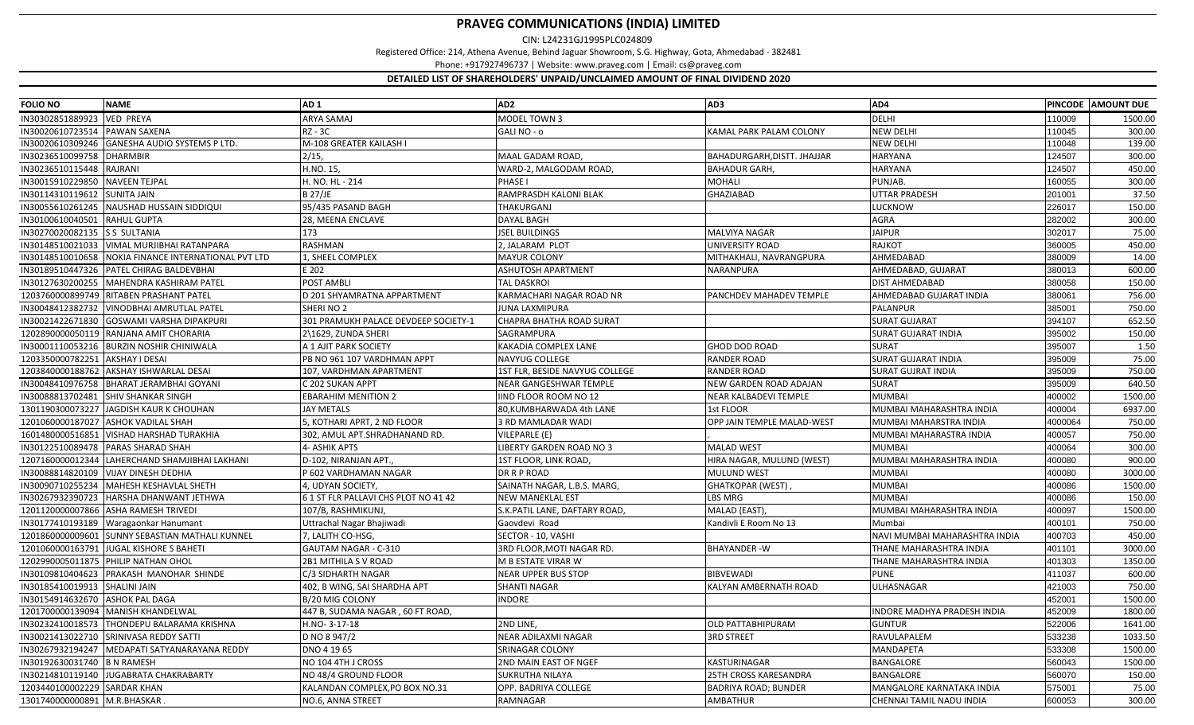CIN: L24231GJ1995PLC024809

Registered Office: 214, Athena Avenue, Behind Jaguar Showroom, S.G. Highway, Gota, Ahmedabad ‐ 382481

Phone: +917927496737 | Website: www.praveg.com | Email: cs@praveg.com

| <b>FOLIO NO</b>              | <b>NAME</b>                                | AD <sub>1</sub>                      | AD <sub>2</sub>                | AD3                          | AD4                           |         | PINCODE AMOUNT DUE |
|------------------------------|--------------------------------------------|--------------------------------------|--------------------------------|------------------------------|-------------------------------|---------|--------------------|
| IN30302851889923             | <b>VED PREYA</b>                           | <b>ARYA SAMAJ</b>                    | MODEL TOWN 3                   |                              | DELHI                         | 110009  | 1500.00            |
| IN30020610723514             | <b>PAWAN SAXENA</b>                        | <b>RZ - 3C</b>                       | GALINO - o                     | KAMAL PARK PALAM COLONY      | <b>NEW DELHI</b>              | 110045  | 300.00             |
| IN30020610309246             | <b>GANESHA AUDIO SYSTEMS P LTD.</b>        | M-108 GREATER KAILASH I              |                                |                              | <b>NEW DELHI</b>              | 110048  | 139.00             |
| IN30236510099758             | <b>DHARMBIR</b>                            | 2/15                                 | MAAL GADAM ROAD                | BAHADURGARH, DISTT. JHAJJAR  | <b>HARYANA</b>                | 124507  | 300.00             |
| IN30236510115448             | <b>RAJRANI</b>                             | H.NO. 15,                            | WARD-2, MALGODAM ROAD          | <b>BAHADUR GARH,</b>         | <b>HARYANA</b>                | 124507  | 450.00             |
| IN30015910229850             | <b>NAVEEN TEJPAL</b>                       | H. NO. HL - 214                      | PHASE I                        | MOHALI                       | PUNJAB.                       | 160055  | 300.00             |
| IN30114310119612             | <b>SUNITA JAIN</b>                         | <b>B 27/JE</b>                       | RAMPRASDH KALONI BLAK          | <b>GHAZIABAD</b>             | <b>UTTAR PRADESH</b>          | 201001  | 37.50              |
| IN30055610261245             | NAUSHAD HUSSAIN SIDDIQUI                   | 95/435 PASAND BAGH                   | THAKURGANJ                     |                              | LUCKNOW                       | 226017  | 150.00             |
| IN30100610040501             | <b>RAHUL GUPTA</b>                         | 28, MEENA ENCLAVE                    | DAYAL BAGH                     |                              | AGRA                          | 282002  | 300.00             |
| IN30270020082135 S SULTANIA  |                                            | 173                                  | <b>JSEL BUILDINGS</b>          | MALVIYA NAGAR                | <b>JAIPUR</b>                 | 302017  | 75.00              |
|                              | IN30148510021033 VIMAL MURJIBHAI RATANPARA | <b>RASHMAN</b>                       | 2, JALARAM PLOT                | UNIVERSITY ROAD              | <b>RAJKOT</b>                 | 360005  | 450.00             |
| IN30148510010658             | NOKIA FINANCE INTERNATIONAL PVT LTD        | 1, SHEEL COMPLEX                     | <b>MAYUR COLONY</b>            | MITHAKHALI, NAVRANGPURA      | AHMEDABAD                     | 380009  | 14.00              |
| IN30189510447326             | PATEL CHIRAG BALDEVBHAI                    | E 202                                | ASHUTOSH APARTMENT             | NARANPURA                    | AHMEDABAD, GUJARAT            | 380013  | 600.00             |
| IN30127630200255             | MAHENDRA KASHIRAM PATEL                    | POST AMBLI                           | <b>TAL DASKROI</b>             |                              | <b>DIST AHMEDABAD</b>         | 380058  | 150.00             |
| 1203760000899749             | <b>RITABEN PRASHANT PATEL</b>              | D 201 SHYAMRATNA APPARTMENT          | KARMACHARI NAGAR ROAD NR       | PANCHDEV MAHADEV TEMPLE      | AHMEDABAD GUJARAT INDIA       | 380061  | 756.00             |
| IN30048412382732             | <b>VINODBHAI AMRUTLAL PATEL</b>            | SHERINO <sub>2</sub>                 | JUNA LAXMIPURA                 |                              | <b>PALANPUR</b>               | 385001  | 750.00             |
| IN30021422671830             | <b>GOSWAMI VARSHA DIPAKPURI</b>            | 301 PRAMUKH PALACE DEVDEEP SOCIETY-1 | CHAPRA BHATHA ROAD SURAT       |                              | <b>SURAT GUJARAT</b>          | 394107  | 652.50             |
| 1202890000050119             | RANJANA AMIT CHORARIA                      | 2\1629, ZUNDA SHERI                  | SAGRAMPURA                     |                              | <b>SURAT GUJARAT INDIA</b>    | 395002  | 150.00             |
| IN30001110053216             | <b>BURZIN NOSHIR CHINIWALA</b>             | A 1 AJIT PARK SOCIETY                | KAKADIA COMPLEX LANE           | GHOD DOD ROAD                | <b>SURAT</b>                  | 395007  | 1.50               |
| 1203350000782251             | <b>AKSHAY I DESAI</b>                      | PB NO 961 107 VARDHMAN APPT          | NAVYUG COLLEGE                 | RANDER ROAD                  | <b>SURAT GUJARAT INDIA</b>    | 395009  | 75.00              |
|                              | 1203840000188762 AKSHAY ISHWARLAL DESAI    | 107, VARDHMAN APARTMENT              | 1ST FLR, BESIDE NAVYUG COLLEGE | <b>RANDER ROAD</b>           | <b>SURAT GUJRAT INDIA</b>     | 395009  | 750.00             |
|                              | IN30048410976758 BHARAT JERAMBHAI GOYANI   | C 202 SUKAN APPT                     | NEAR GANGESHWAR TEMPLE         | NEW GARDEN ROAD ADAJAN       | <b>SURAT</b>                  | 395009  | 640.50             |
| IN30088813702481             | <b>SHIV SHANKAR SINGH</b>                  | <b>EBARAHIM MENITION 2</b>           | IIND FLOOR ROOM NO 12          | NEAR KALBADEVI TEMPLE        | <b>MUMBAI</b>                 | 400002  | 1500.00            |
| 1301190300073227             | JAGDISH KAUR K CHOUHAN                     | <b>JAY METALS</b>                    | 80,KUMBHARWADA 4th LANE        | 1st FLOOR                    | MUMBAI MAHARASHTRA INDIA      | 400004  | 6937.00            |
| 1201060000187027             | <b>ASHOK VADILAL SHAH</b>                  | 5, KOTHARI APRT, 2 ND FLOOR          | 3 RD MAMLADAR WADI             | OPP JAIN TEMPLE MALAD-WEST   | MUMBAI MAHARSTRA INDIA        | 4000064 | 750.00             |
| 1601480000516851             | <b>VISHAD HARSHAD TURAKHIA</b>             | 302, AMUL APT.SHRADHANAND RD.        | VILEPARLE (E)                  |                              | MUMBAI MAHARASTRA INDIA       | 400057  | 750.00             |
| IN30122510089478             | <b>PARAS SHARAD SHAH</b>                   | 4- ASHIK APTS                        | LIBERTY GARDEN ROAD NO 3       | <b>MALAD WEST</b>            | <b>MUMBAI</b>                 | 400064  | 300.00             |
| 1207160000012344             | LAHERCHAND SHAMJIBHAI LAKHANI              | D-102, NIRANJAN APT.,                | 1ST FLOOR, LINK ROAD,          | HIRA NAGAR, MULUND (WEST)    | MUMBAI MAHARASHTRA INDIA      | 400080  | 900.00             |
|                              | IN30088814820109 VIJAY DINESH DEDHIA       | P 602 VARDHAMAN NAGAR                | DR R P ROAD                    | <b>MULUND WEST</b>           | <b>MUMBAI</b>                 | 400080  | 3000.00            |
|                              | IN30090710255234   MAHESH KESHAVLAL SHETH  | 4, UDYAN SOCIETY,                    | SAINATH NAGAR, L.B.S. MARG,    | GHATKOPAR (WEST)             | <b>MUMBAI</b>                 | 400086  | 1500.00            |
| IN30267932390723             | HARSHA DHANWANT JETHWA                     | 6 1 ST FLR PALLAVI CHS PLOT NO 41 42 | <b>NEW MANEKLAL EST</b>        | LBS MRG                      | <b>MUMBAI</b>                 | 400086  | 150.00             |
| 1201120000007866             | <b>ASHA RAMESH TRIVEDI</b>                 | 107/B, RASHMIKUNJ,                   | S.K.PATIL LANE, DAFTARY ROAD,  | MALAD (EAST)                 | MUMBAI MAHARASHTRA INDIA      | 400097  | 1500.00            |
| IN30177410193189             | Waragaonkar Hanumant                       | Uttrachal Nagar Bhajiwadi            | Gaovdevi Road                  | Kandivli E Room No 13        | Mumbai                        | 400101  | 750.00             |
| 1201860000009601             | <b>SUNNY SEBASTIAN MATHALI KUNNEL</b>      | 7, LALITH CO-HSG,                    | SECTOR - 10, VASHI             |                              | NAVI MUMBAI MAHARASHTRA INDIA | 400703  | 450.00             |
| 1201060000163791             | <b>JUGAL KISHORE S BAHETI</b>              | GAUTAM NAGAR - C-310                 | 3RD FLOOR, MOTI NAGAR RD.      | <b>BHAYANDER-W</b>           | THANE MAHARASHTRA INDIA       | 401101  | 3000.00            |
|                              | 1202990005011875 PHILIP NATHAN OHOL        | 2B1 MITHILA S V ROAD                 | M B ESTATE VIRAR W             |                              | THANE MAHARASHTRA INDIA       | 401303  | 1350.00            |
| IN30109810404623             | <b>PRAKASH MANOHAR SHINDE</b>              | C/3 SIDHARTH NAGAR                   | NEAR UPPER BUS STOP            | <b>BIBVEWADI</b>             | <b>PUNE</b>                   | 411037  | 600.00             |
| IN30185410019913             | <b>SHALINI JAIN</b>                        | 402, B WING, SAI SHARDHA APT         | SHANTI NAGAR                   | KALYAN AMBERNATH ROAD        | ULHASNAGAR                    | 421003  | 750.00             |
| IN30154914632670             | <b>ASHOK PAL DAGA</b>                      | B/20 MIG COLONY                      | INDORE                         |                              |                               | 452001  | 1500.00            |
|                              | 1201700000139094 MANISH KHANDELWAL         | 447 B, SUDAMA NAGAR, 60 FT ROAD,     |                                |                              | INDORE MADHYA PRADESH INDIA   | 452009  | 1800.00            |
| IN30232410018573             | THONDEPU BALARAMA KRISHNA                  | H.NO-3-17-18                         | 2ND LINE.                      | OLD PATTABHIPURAM            | <b>GUNTUR</b>                 | 522006  | 1641.00            |
| IN30021413022710             | SRINIVASA REDDY SATTI                      | D NO 8 947/2                         | NEAR ADILAXMI NAGAR            | <b>3RD STREET</b>            | RAVULAPALEM                   | 533238  | 1033.50            |
| IN30267932194247             | MEDAPATI SATYANARAYANA REDDY               | DNO 4 19 65                          | SRINAGAR COLONY                |                              | MANDAPETA                     | 533308  | 1500.00            |
| IN30192630031740             | <b>B N RAMESH</b>                          | NO 104 4TH J CROSS                   | 2ND MAIN EAST OF NGEF          | KASTURINAGAR                 | <b>BANGALORE</b>              | 560043  | 1500.00            |
| IN30214810119140             | JUGABRATA CHAKRABARTY                      | NO 48/4 GROUND FLOOR                 | SUKRUTHA NILAYA                | <b>25TH CROSS KARESANDRA</b> | <b>BANGALORE</b>              | 560070  | 150.00             |
| 1203440100002229             | <b>SARDAR KHAN</b>                         | KALANDAN COMPLEX.PO BOX NO.31        | OPP. BADRIYA COLLEGE           | <b>BADRIYA ROAD; BUNDER</b>  | MANGALORE KARNATAKA INDIA     | 575001  | 75.00              |
| 1301740000000891 M.R.BHASKAR |                                            | NO.6, ANNA STREET                    | RAMNAGAR                       | AMBATHUR                     | CHENNAI TAMIL NADU INDIA      | 600053  | 300.00             |
|                              |                                            |                                      |                                |                              |                               |         |                    |